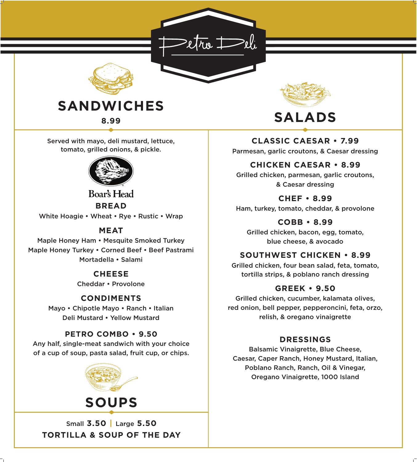#### **PETRO COMBO • 9.50**

Any half, single-meat sandwich with your choice of a cup of soup, pasta salad, fruit cup, or chips.

Parmesan, garlic croutons, & Caesar dressing

#### **CHICKEN CAESAR • 8.99**

Grilled chicken, parmesan, garlic croutons,

& Caesar dressing

**CHEF • 8.99**

Ham, turkey, tomato, cheddar, & provolone

#### **COBB • 8.99**

Grilled chicken, bacon, egg, tomato, blue cheese, & avocado

#### **SOUTHWEST CHICKEN • 8.99**

# **Boar's Head BREAD**

White Hoagie • Wheat • Rye • Rustic • Wrap

Grilled chicken, four bean salad, feta, tomato, tortilla strips, & poblano ranch dressing

#### **GREEK • 9.50**

Grilled chicken, cucumber, kalamata olives, red onion, bell pepper, pepperoncini, feta, orzo, relish, & oregano vinaigrette

### **DRESSINGS**

Balsamic Vinaigrette, Blue Cheese, Caesar, Caper Ranch, Honey Mustard, Italian, Poblano Ranch, Ranch, Oil & Vinegar, Oregano Vinaigrette, 1000 Island



tomato, grilled onions, & pickle.



#### **MEAT**

Maple Honey Ham • Mesquite Smoked Turkey Maple Honey Turkey • Corned Beef • Beef Pastrami Mortadella • Salami

## **CHEESE**

Cheddar • Provolone

#### **CONDIMENTS**

Mayo • Chipotle Mayo • Ranch • Italian Deli Mustard • Yellow Mustard



#### Small **3.50 |** Large **5.50**